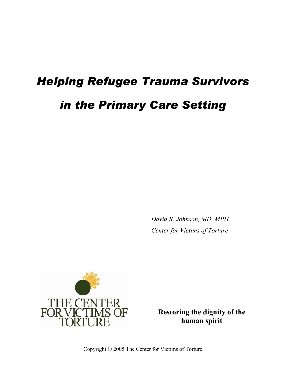# *Helping Refugee Trauma Survivors in the Primary Care Setting*

*David R. Johnson, MD, MPH Center for Victims of Torture*



**Restoring the dignity of the human spirit**

Copyright © 2005 The Center for Victims of Torture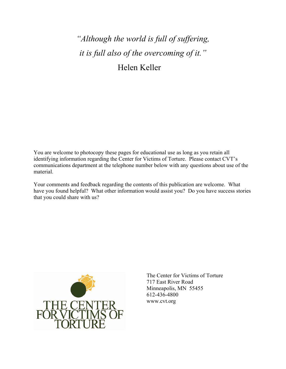## *"Although the world is full of suffering, it is full also of the overcoming of it."*  Helen Keller

You are welcome to photocopy these pages for educational use as long as you retain all identifying information regarding the Center for Victims of Torture. Please contact CVT's communications department at the telephone number below with any questions about use of the material.

Your comments and feedback regarding the contents of this publication are welcome. What have you found helpful? What other information would assist you? Do you have success stories that you could share with us?



The Center for Victims of Torture 717 East River Road Minneapolis, MN 55455 612-436-4800 www.cvt.org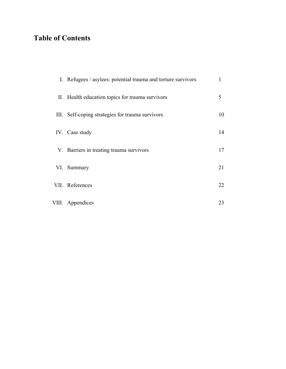### **Table of Contents**

| I. Refugees / asylees: potential trauma and torture survivors |    |
|---------------------------------------------------------------|----|
| II. Health education topics for trauma survivors              | 5  |
| III. Self-coping strategies for trauma survivors              | 10 |
| IV. Case study                                                | 14 |
| V. Barriers in treating trauma survivors                      | 17 |
| VI. Summary                                                   | 21 |
| VII. References                                               | 22 |
| VIII. Appendices                                              | 23 |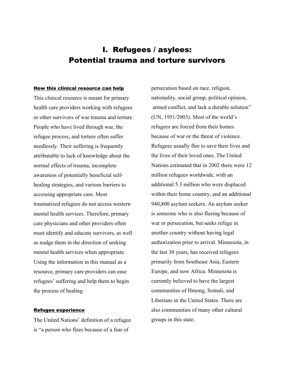### I. Refugees / asylees: Potential trauma and torture survivors

#### How this clinical resource can help

This clinical resource is meant for primary health care providers working with refugees or other survivors of war trauma and torture. People who have lived through war, the refugee process, and torture often suffer needlessly. Their suffering is frequently attributable to lack of knowledge about the normal effects of trauma, incomplete awareness of potentially beneficial selfhealing strategies, and various barriers to accessing appropriate care. Most traumatized refugees do not access western mental health services. Therefore, primary care physicians and other providers often must identify and educate survivors, as well as nudge them in the direction of seeking mental health services when appropriate. Using the information in this manual as a resource, primary care providers can ease refugees' suffering and help them to begin the process of healing.

#### Refugee experience

The United Nations' definition of a refugee is "a person who flees because of a fear of

persecution based on race, religion, nationality, social group, political opinion, armed conflict, and lack a durable solution" (UN, 1951/2003). Most of the world's refugees are forced from their homes because of war or the threat of violence. Refugees usually flee to save their lives and the lives of their loved ones. The United Nations estimated that in 2002 there were 12 million refugees worldwide, with an additional 5.3 million who were displaced within their home country, and an additional 940,800 asylum seekers. An asylum seeker is someone who is also fleeing because of war or persecution, but seeks refuge in another country without having legal authorization prior to arrival. Minnesota, in the last 30 years, has received refugees primarily from Southeast Asia, Eastern Europe, and now Africa. Minnesota is currently believed to have the largest communities of Hmong, Somali, and Liberians in the United States. There are also communities of many other cultural groups in this state.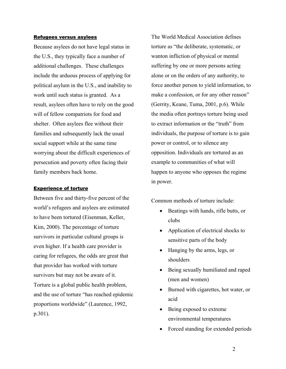#### Refugees versus asylees

Because asylees do not have legal status in the U.S., they typically face a number of additional challenges. These challenges include the arduous process of applying for political asylum in the U.S., and inability to work until such status is granted. As a result, asylees often have to rely on the good will of fellow compatriots for food and shelter. Often asylees flee without their families and subsequently lack the usual social support while at the same time worrying about the difficult experiences of persecution and poverty often facing their family members back home.

#### Experience of torture

Between five and thirty-five percent of the world's refugees and asylees are estimated to have been tortured (Eisenman, Keller, Kim, 2000). The percentage of torture survivors in particular cultural groups is even higher. If a health care provider is caring for refugees, the odds are great that that provider has worked with torture survivors but may not be aware of it. Torture is a global public health problem, and the use of torture "has reached epidemic proportions worldwide" (Laurence, 1992, p.301).

The World Medical Association defines torture as "the deliberate, systematic, or wanton infliction of physical or mental suffering by one or more persons acting alone or on the orders of any authority, to force another person to yield information, to make a confession, or for any other reason" (Gerrity, Keane, Tuma, 2001, p.6). While the media often portrays torture being used to extract information or the "truth" from individuals, the purpose of torture is to gain power or control, or to silence any opposition. Individuals are tortured as an example to communities of what will happen to anyone who opposes the regime in power.

Common methods of torture include:

- Beatings with hands, rifle butts, or clubs
- Application of electrical shocks to sensitive parts of the body
- Hanging by the arms, legs, or shoulders
- Being sexually humiliated and raped (men and women)
- Burned with cigarettes, hot water, or acid
- Being exposed to extreme environmental temperatures
- Forced standing for extended periods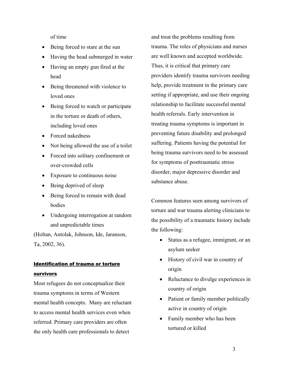of time

- Being forced to stare at the sun
- Having the head submerged in water
- Having an empty gun fired at the head
- Being threatened with violence to loved ones
- Being forced to watch or participate in the torture or death of others, including loved ones
- Forced nakedness
- Not being allowed the use of a toilet
- Forced into solitary confinement or over-crowded cells
- Exposure to continuous noise
- Being deprived of sleep
- Being forced to remain with dead bodies
- Undergoing interrogation at random and unpredictable times

(Holtan, Antolak, Johnson, Ide, Jaranson, Ta, 2002, 36).

### Identification of trauma or torture survivors

Most refugees do not conceptualize their trauma symptoms in terms of Western mental health concepts. Many are reluctant to access mental health services even when referred. Primary care providers are often the only health care professionals to detect

and treat the problems resulting from trauma. The roles of physicians and nurses are well known and accepted worldwide. Thus, it is critical that primary care providers identify trauma survivors needing help, provide treatment in the primary care setting if appropriate, and use their ongoing relationship to facilitate successful mental health referrals. Early intervention in treating trauma symptoms is important in preventing future disability and prolonged suffering. Patients having the potential for being trauma survivors need to be assessed for symptoms of posttraumatic stress disorder, major depressive disorder and substance abuse.

Common features seen among survivors of torture and war trauma alerting clinicians to the possibility of a traumatic history include the following:

- Status as a refugee, immigrant, or an asylum seeker
- History of civil war in country of origin
- Reluctance to divulge experiences in country of origin
- Patient or family member politically active in country of origin
- Family member who has been tortured or killed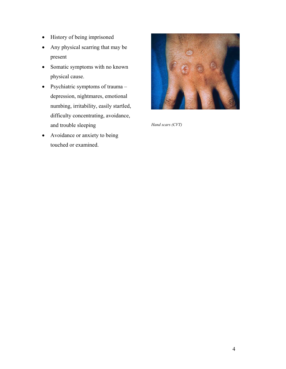- History of being imprisoned
- Any physical scarring that may be present
- Somatic symptoms with no known physical cause.
- Psychiatric symptoms of trauma depression, nightmares, emotional numbing, irritability, easily startled, difficulty concentrating, avoidance, and trouble sleeping
- Avoidance or anxiety to being touched or examined.



*Hand scars (CVT)*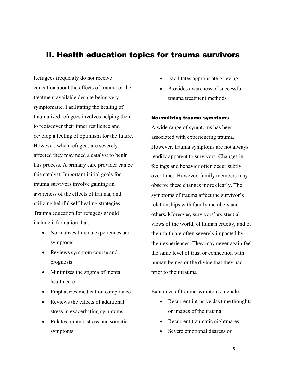### II. Health education topics for trauma survivors

Refugees frequently do not receive education about the effects of trauma or the treatment available despite being very symptomatic. Facilitating the healing of traumatized refugees involves helping them to rediscover their inner resilience and develop a feeling of optimism for the future. However, when refugees are severely affected they may need a catalyst to begin this process. A primary care provider can be this catalyst. Important initial goals for trauma survivors involve gaining an awareness of the effects of trauma, and utilizing helpful self-healing strategies. Trauma education for refugees should include information that:

- Normalizes trauma experiences and symptoms
- Reviews symptom course and prognosis
- Minimizes the stigma of mental health care
- Emphasizes medication compliance
- Reviews the effects of additional stress in exacerbating symptoms
- Relates trauma, stress and somatic symptoms
- Facilitates appropriate grieving
- Provides awareness of successful trauma treatment methods

#### Normalizing trauma symptoms

A wide range of symptoms has been associated with experiencing trauma. However, trauma symptoms are not always readily apparent to survivors. Changes in feelings and behavior often occur subtly over time. However, family members may observe these changes more clearly. The symptoms of trauma affect the survivor's relationships with family members and others. Moreover, survivors' existential views of the world, of human cruelty, and of their faith are often severely impacted by their experiences. They may never again feel the same level of trust or connection with human beings or the divine that they had prior to their trauma

Examples of trauma symptoms include:

- Recurrent intrusive daytime thoughts or images of the trauma
- Recurrent traumatic nightmares
- Severe emotional distress or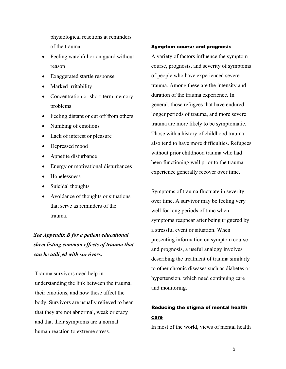physiological reactions at reminders of the trauma

- Feeling watchful or on guard without reason
- Exaggerated startle response
- Marked irritability
- Concentration or short-term memory problems
- Feeling distant or cut off from others
- Numbing of emotions
- Lack of interest or pleasure
- Depressed mood
- Appetite disturbance
- Energy or motivational disturbances
- Hopelessness
- Suicidal thoughts
- Avoidance of thoughts or situations that serve as reminders of the trauma.

*See Appendix B for a patient educational sheet listing common effects of trauma that can be utilized with survivors.* 

Trauma survivors need help in understanding the link between the trauma, their emotions, and how these affect the body. Survivors are usually relieved to hear that they are not abnormal, weak or crazy and that their symptoms are a normal human reaction to extreme stress.

#### Symptom course and prognosis

A variety of factors influence the symptom course, prognosis, and severity of symptoms of people who have experienced severe trauma. Among these are the intensity and duration of the trauma experience. In general, those refugees that have endured longer periods of trauma, and more severe trauma are more likely to be symptomatic. Those with a history of childhood trauma also tend to have more difficulties. Refugees without prior childhood trauma who had been functioning well prior to the trauma experience generally recover over time.

Symptoms of trauma fluctuate in severity over time. A survivor may be feeling very well for long periods of time when symptoms reappear after being triggered by a stressful event or situation. When presenting information on symptom course and prognosis, a useful analogy involves describing the treatment of trauma similarly to other chronic diseases such as diabetes or hypertension, which need continuing care and monitoring.

### Reducing the stigma of mental health care

In most of the world, views of mental health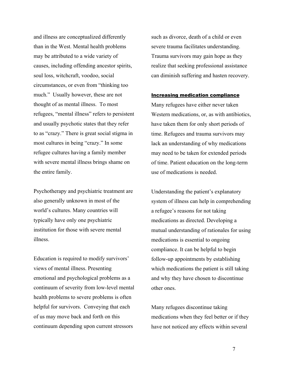and illness are conceptualized differently than in the West. Mental health problems may be attributed to a wide variety of causes, including offending ancestor spirits, soul loss, witchcraft, voodoo, social circumstances, or even from "thinking too much." Usually however, these are not thought of as mental illness. To most refugees, "mental illness" refers to persistent and usually psychotic states that they refer to as "crazy." There is great social stigma in most cultures in being "crazy." In some refugee cultures having a family member with severe mental illness brings shame on the entire family.

Psychotherapy and psychiatric treatment are also generally unknown in most of the world's cultures. Many countries will typically have only one psychiatric institution for those with severe mental illness.

Education is required to modify survivors' views of mental illness. Presenting emotional and psychological problems as a continuum of severity from low-level mental health problems to severe problems is often helpful for survivors. Conveying that each of us may move back and forth on this continuum depending upon current stressors

such as divorce, death of a child or even severe trauma facilitates understanding. Trauma survivors may gain hope as they realize that seeking professional assistance can diminish suffering and hasten recovery.

#### Increasing medication compliance

Many refugees have either never taken Western medications, or, as with antibiotics, have taken them for only short periods of time. Refugees and trauma survivors may lack an understanding of why medications may need to be taken for extended periods of time. Patient education on the long-term use of medications is needed.

Understanding the patient's explanatory system of illness can help in comprehending a refugee's reasons for not taking medications as directed. Developing a mutual understanding of rationales for using medications is essential to ongoing compliance. It can be helpful to begin follow-up appointments by establishing which medications the patient is still taking and why they have chosen to discontinue other ones.

Many refugees discontinue taking medications when they feel better or if they have not noticed any effects within several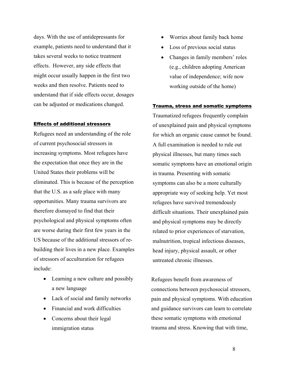days. With the use of antidepressants for example, patients need to understand that it takes several weeks to notice treatment effects. However, any side effects that might occur usually happen in the first two weeks and then resolve. Patients need to understand that if side effects occur, dosages can be adjusted or medications changed.

#### Effects of additional stressors

Refugees need an understanding of the role of current psychosocial stressors in increasing symptoms. Most refugees have the expectation that once they are in the United States their problems will be eliminated. This is because of the perception that the U.S. as a safe place with many opportunities. Many trauma survivors are therefore dismayed to find that their psychological and physical symptoms often are worse during their first few years in the US because of the additional stressors of rebuilding their lives in a new place. Examples of stressors of acculturation for refugees include:

- Learning a new culture and possibly a new language
- Lack of social and family networks
- Financial and work difficulties
- Concerns about their legal immigration status
- Worries about family back home
- Loss of previous social status
- Changes in family members' roles (e.g., children adopting American value of independence; wife now working outside of the home)

#### Trauma, stress and somatic symptoms

Traumatized refugees frequently complain of unexplained pain and physical symptoms for which an organic cause cannot be found. A full examination is needed to rule out physical illnesses, but many times such somatic symptoms have an emotional origin in trauma. Presenting with somatic symptoms can also be a more culturally appropriate way of seeking help. Yet most refugees have survived tremendously difficult situations. Their unexplained pain and physical symptoms may be directly related to prior experiences of starvation, malnutrition, tropical infectious diseases, head injury, physical assault, or other untreated chronic illnesses.

Refugees benefit from awareness of connections between psychosocial stressors, pain and physical symptoms. With education and guidance survivors can learn to correlate these somatic symptoms with emotional trauma and stress. Knowing that with time,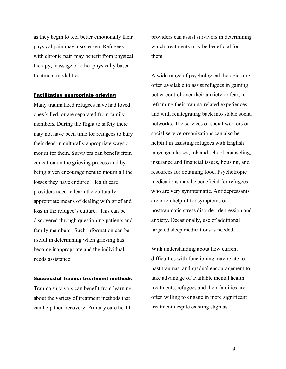as they begin to feel better emotionally their physical pain may also lessen. Refugees with chronic pain may benefit from physical therapy, massage or other physically based treatment modalities.

#### Facilitating appropriate grieving

Many traumatized refugees have had loved ones killed, or are separated from family members. During the flight to safety there may not have been time for refugees to bury their dead in culturally appropriate ways or mourn for them. Survivors can benefit from education on the grieving process and by being given encouragement to mourn all the losses they have endured. Health care providers need to learn the culturally appropriate means of dealing with grief and loss in the refugee's culture. This can be discovered through questioning patients and family members. Such information can be useful in determining when grieving has become inappropriate and the individual needs assistance.

#### Successful trauma treatment methods

Trauma survivors can benefit from learning about the variety of treatment methods that can help their recovery. Primary care health providers can assist survivors in determining which treatments may be beneficial for them.

A wide range of psychological therapies are often available to assist refugees in gaining better control over their anxiety or fear, in reframing their trauma-related experiences, and with reintegrating back into stable social networks. The services of social workers or social service organizations can also be helpful in assisting refugees with English language classes, job and school counseling, insurance and financial issues, housing, and resources for obtaining food. Psychotropic medications may be beneficial for refugees who are very symptomatic. Antidepressants are often helpful for symptoms of posttraumatic stress disorder, depression and anxiety. Occasionally, use of additional targeted sleep medications is needed.

With understanding about how current difficulties with functioning may relate to past traumas, and gradual encouragement to take advantage of available mental health treatments, refugees and their families are often willing to engage in more significant treatment despite existing stigmas.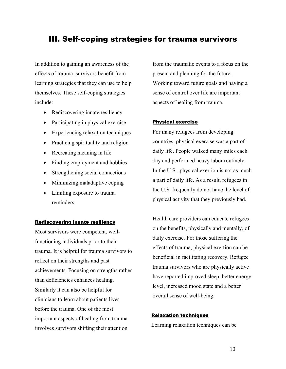### III. Self-coping strategies for trauma survivors

In addition to gaining an awareness of the effects of trauma, survivors benefit from learning strategies that they can use to help themselves. These self-coping strategies include:

- Rediscovering innate resiliency
- Participating in physical exercise
- Experiencing relaxation techniques
- Practicing spirituality and religion
- Recreating meaning in life
- Finding employment and hobbies
- Strengthening social connections
- Minimizing maladaptive coping
- Limiting exposure to trauma reminders

#### Rediscovering innate resiliency

Most survivors were competent, wellfunctioning individuals prior to their trauma. It is helpful for trauma survivors to reflect on their strengths and past achievements. Focusing on strengths rather than deficiencies enhances healing. Similarly it can also be helpful for clinicians to learn about patients lives before the trauma. One of the most important aspects of healing from trauma involves survivors shifting their attention

from the traumatic events to a focus on the present and planning for the future. Working toward future goals and having a sense of control over life are important aspects of healing from trauma.

#### Physical exercise

For many refugees from developing countries, physical exercise was a part of daily life. People walked many miles each day and performed heavy labor routinely. In the U.S., physical exertion is not as much a part of daily life. As a result, refugees in the U.S. frequently do not have the level of physical activity that they previously had.

Health care providers can educate refugees on the benefits, physically and mentally, of daily exercise. For those suffering the effects of trauma, physical exertion can be beneficial in facilitating recovery. Refugee trauma survivors who are physically active have reported improved sleep, better energy level, increased mood state and a better overall sense of well-being.

#### Relaxation techniques

Learning relaxation techniques can be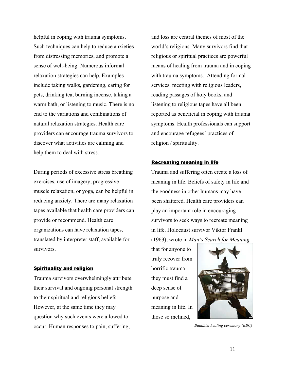helpful in coping with trauma symptoms. Such techniques can help to reduce anxieties from distressing memories, and promote a sense of well-being. Numerous informal relaxation strategies can help. Examples include taking walks, gardening, caring for pets, drinking tea, burning incense, taking a warm bath, or listening to music. There is no end to the variations and combinations of natural relaxation strategies. Health care providers can encourage trauma survivors to discover what activities are calming and help them to deal with stress.

During periods of excessive stress breathing exercises, use of imagery, progressive muscle relaxation, or yoga, can be helpful in reducing anxiety. There are many relaxation tapes available that health care providers can provide or recommend. Health care organizations can have relaxation tapes, translated by interpreter staff, available for survivors.

#### Spirituality and religion

Trauma survivors overwhelmingly attribute their survival and ongoing personal strength to their spiritual and religious beliefs. However, at the same time they may question why such events were allowed to occur. Human responses to pain, suffering,

and loss are central themes of most of the world's religions. Many survivors find that religious or spiritual practices are powerful means of healing from trauma and in coping with trauma symptoms. Attending formal services, meeting with religious leaders, reading passages of holy books, and listening to religious tapes have all been reported as beneficial in coping with trauma symptoms. Health professionals can support and encourage refugees' practices of religion / spirituality.

#### Recreating meaning in life

Trauma and suffering often create a loss of meaning in life. Beliefs of safety in life and the goodness in other humans may have been shattered. Health care providers can play an important role in encouraging survivors to seek ways to recreate meaning in life. Holocaust survivor Viktor Frankl (1963), wrote in *Man's Search for Meaning,* 

that for anyone to truly recover from horrific trauma they must find a deep sense of purpose and meaning in life. In those so inclined,



*Buddhist healing ceremony (BBC)*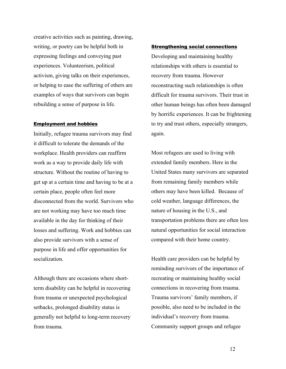creative activities such as painting, drawing, writing, or poetry can be helpful both in expressing feelings and conveying past experiences. Volunteerism, political activism, giving talks on their experiences, or helping to ease the suffering of others are examples of ways that survivors can begin rebuilding a sense of purpose in life.

#### Employment and hobbies

Initially, refugee trauma survivors may find it difficult to tolerate the demands of the workplace. Health providers can reaffirm work as a way to provide daily life with structure. Without the routine of having to get up at a certain time and having to be at a certain place, people often feel more disconnected from the world. Survivors who are not working may have too much time available in the day for thinking of their losses and suffering. Work and hobbies can also provide survivors with a sense of purpose in life and offer opportunities for socialization.

Although there are occasions where shortterm disability can be helpful in recovering from trauma or unexpected psychological setbacks, prolonged disability status is generally not helpful to long-term recovery from trauma.

#### **Strengthening social connections**

Developing and maintaining healthy relationships with others is essential to recovery from trauma. However reconstructing such relationships is often difficult for trauma survivors. Their trust in other human beings has often been damaged by horrific experiences. It can be frightening to try and trust others, especially strangers, again.

Most refugees are used to living with extended family members. Here in the United States many survivors are separated from remaining family members while others may have been killed. Because of cold weather, language differences, the nature of housing in the U.S., and transportation problems there are often less natural opportunities for social interaction compared with their home country.

Health care providers can be helpful by reminding survivors of the importance of recreating or maintaining healthy social connections in recovering from trauma. Trauma survivors' family members, if possible, also need to be included in the individual's recovery from trauma. Community support groups and refugee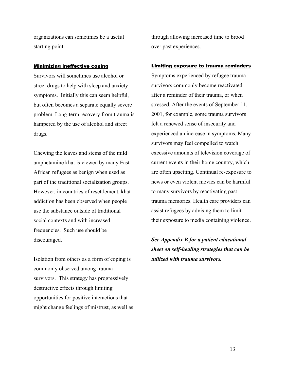organizations can sometimes be a useful starting point.

#### Minimizing ineffective coping

Survivors will sometimes use alcohol or street drugs to help with sleep and anxiety symptoms. Initially this can seem helpful, but often becomes a separate equally severe problem. Long-term recovery from trauma is hampered by the use of alcohol and street drugs.

Chewing the leaves and stems of the mild amphetamine khat is viewed by many East African refugees as benign when used as part of the traditional socialization groups. However, in countries of resettlement, khat addiction has been observed when people use the substance outside of traditional social contexts and with increased frequencies. Such use should be discouraged.

Isolation from others as a form of coping is commonly observed among trauma survivors. This strategy has progressively destructive effects through limiting opportunities for positive interactions that might change feelings of mistrust, as well as through allowing increased time to brood over past experiences.

#### Limiting exposure to trauma reminders

Symptoms experienced by refugee trauma survivors commonly become reactivated after a reminder of their trauma, or when stressed. After the events of September 11, 2001, for example, some trauma survivors felt a renewed sense of insecurity and experienced an increase in symptoms. Many survivors may feel compelled to watch excessive amounts of television coverage of current events in their home country, which are often upsetting. Continual re-exposure to news or even violent movies can be harmful to many survivors by reactivating past trauma memories. Health care providers can assist refugees by advising them to limit their exposure to media containing violence.

*See Appendix B for a patient educational sheet on self-healing strategies that can be utilized with trauma survivors.*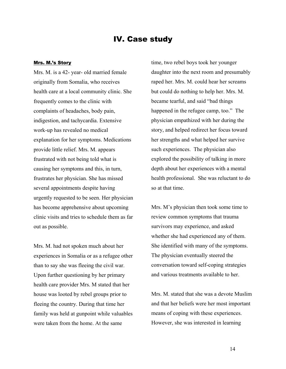### IV. Case study

#### Mrs. M.'s Story

Mrs. M. is a 42- year- old married female originally from Somalia, who receives health care at a local community clinic. She frequently comes to the clinic with complaints of headaches, body pain, indigestion, and tachycardia. Extensive work-up has revealed no medical explanation for her symptoms. Medications provide little relief. Mrs. M. appears frustrated with not being told what is causing her symptoms and this, in turn, frustrates her physician. She has missed several appointments despite having urgently requested to be seen. Her physician has become apprehensive about upcoming clinic visits and tries to schedule them as far out as possible.

Mrs. M. had not spoken much about her experiences in Somalia or as a refugee other than to say she was fleeing the civil war. Upon further questioning by her primary health care provider Mrs. M stated that her house was looted by rebel groups prior to fleeing the country. During that time her family was held at gunpoint while valuables were taken from the home. At the same

time, two rebel boys took her younger daughter into the next room and presumably raped her. Mrs. M. could hear her screams but could do nothing to help her. Mrs. M. became tearful, and said "bad things happened in the refugee camp, too." The physician empathized with her during the story, and helped redirect her focus toward her strengths and what helped her survive such experiences. The physician also explored the possibility of talking in more depth about her experiences with a mental health professional. She was reluctant to do so at that time.

Mrs. M's physician then took some time to review common symptoms that trauma survivors may experience, and asked whether she had experienced any of them. She identified with many of the symptoms. The physician eventually steered the conversation toward self-coping strategies and various treatments available to her.

Mrs. M. stated that she was a devote Muslim and that her beliefs were her most important means of coping with these experiences. However, she was interested in learning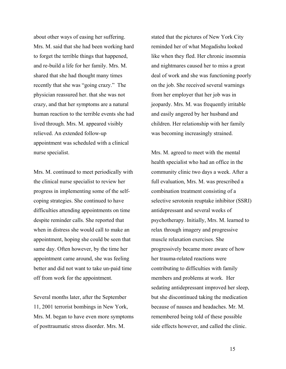about other ways of easing her suffering. Mrs. M. said that she had been working hard to forget the terrible things that happened, and re-build a life for her family. Mrs. M. shared that she had thought many times recently that she was "going crazy." The physician reassured her. that she was not crazy, and that her symptoms are a natural human reaction to the terrible events she had lived through. Mrs. M. appeared visibly relieved. An extended follow-up appointment was scheduled with a clinical nurse specialist.

Mrs. M. continued to meet periodically with the clinical nurse specialist to review her progress in implementing some of the selfcoping strategies. She continued to have difficulties attending appointments on time despite reminder calls. She reported that when in distress she would call to make an appointment, hoping she could be seen that same day. Often however, by the time her appointment came around, she was feeling better and did not want to take un-paid time off from work for the appointment.

Several months later, after the September 11, 2001 terrorist bombings in New York, Mrs. M. began to have even more symptoms of posttraumatic stress disorder. Mrs. M.

stated that the pictures of New York City reminded her of what Mogadishu looked like when they fled. Her chronic insomnia and nightmares caused her to miss a great deal of work and she was functioning poorly on the job. She received several warnings from her employer that her job was in jeopardy. Mrs. M. was frequently irritable and easily angered by her husband and children. Her relationship with her family was becoming increasingly strained.

Mrs. M. agreed to meet with the mental health specialist who had an office in the community clinic two days a week. After a full evaluation, Mrs. M. was prescribed a combination treatment consisting of a selective serotonin reuptake inhibitor (SSRI) antidepressant and several weeks of psychotherapy. Initially, Mrs. M. learned to relax through imagery and progressive muscle relaxation exercises. She progressively became more aware of how her trauma-related reactions were contributing to difficulties with family members and problems at work. Her sedating antidepressant improved her sleep, but she discontinued taking the medication because of nausea and headaches. Mr. M. remembered being told of these possible side effects however, and called the clinic.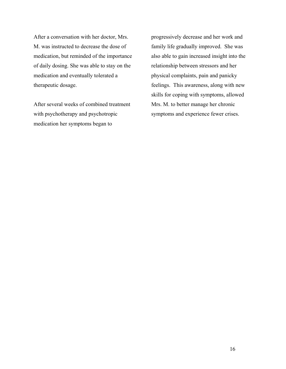After a conversation with her doctor, Mrs. M. was instructed to decrease the dose of medication, but reminded of the importance of daily dosing. She was able to stay on the medication and eventually tolerated a therapeutic dosage.

After several weeks of combined treatment with psychotherapy and psychotropic medication her symptoms began to

progressively decrease and her work and family life gradually improved. She was also able to gain increased insight into the relationship between stressors and her physical complaints, pain and panicky feelings. This awareness, along with new skills for coping with symptoms, allowed Mrs. M. to better manage her chronic symptoms and experience fewer crises.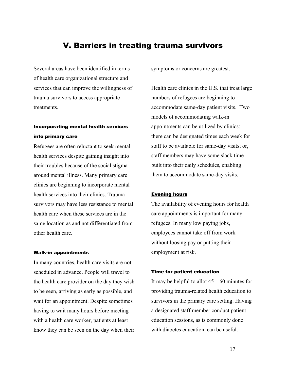### V. Barriers in treating trauma survivors

Several areas have been identified in terms of health care organizational structure and services that can improve the willingness of trauma survivors to access appropriate treatments.

### Incorporating mental health services into primary care

Refugees are often reluctant to seek mental health services despite gaining insight into their troubles because of the social stigma around mental illness. Many primary care clinics are beginning to incorporate mental health services into their clinics. Trauma survivors may have less resistance to mental health care when these services are in the same location as and not differentiated from other health care.

#### Walk-in appointments

In many countries, health care visits are not scheduled in advance. People will travel to the health care provider on the day they wish to be seen, arriving as early as possible, and wait for an appointment. Despite sometimes having to wait many hours before meeting with a health care worker, patients at least know they can be seen on the day when their

symptoms or concerns are greatest.

Health care clinics in the U.S. that treat large numbers of refugees are beginning to accommodate same-day patient visits. Two models of accommodating walk-in appointments can be utilized by clinics: there can be designated times each week for staff to be available for same-day visits; or, staff members may have some slack time built into their daily schedules, enabling them to accommodate same-day visits.

#### Evening hours

The availability of evening hours for health care appointments is important for many refugees. In many low paying jobs, employees cannot take off from work without loosing pay or putting their employment at risk.

#### Time for patient education

It may be helpful to allot  $45 - 60$  minutes for providing trauma-related health education to survivors in the primary care setting. Having a designated staff member conduct patient education sessions, as is commonly done with diabetes education, can be useful.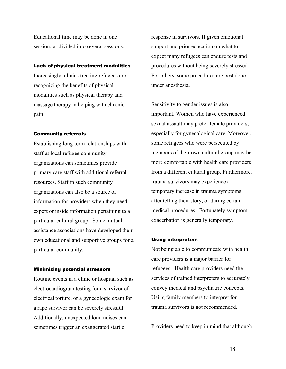Educational time may be done in one session, or divided into several sessions.

#### Lack of physical treatment modalities

Increasingly, clinics treating refugees are recognizing the benefits of physical modalities such as physical therapy and massage therapy in helping with chronic pain.

#### Community referrals

Establishing long-term relationships with staff at local refugee community organizations can sometimes provide primary care staff with additional referral resources. Staff in such community organizations can also be a source of information for providers when they need expert or inside information pertaining to a particular cultural group. Some mutual assistance associations have developed their own educational and supportive groups for a particular community.

#### Minimizing potential stressors

Routine events in a clinic or hospital such as electrocardiogram testing for a survivor of electrical torture, or a gynecologic exam for a rape survivor can be severely stressful. Additionally, unexpected loud noises can sometimes trigger an exaggerated startle

response in survivors. If given emotional support and prior education on what to expect many refugees can endure tests and procedures without being severely stressed. For others, some procedures are best done under anesthesia.

Sensitivity to gender issues is also important. Women who have experienced sexual assault may prefer female providers, especially for gynecological care. Moreover, some refugees who were persecuted by members of their own cultural group may be more comfortable with health care providers from a different cultural group. Furthermore, trauma survivors may experience a temporary increase in trauma symptoms after telling their story, or during certain medical procedures. Fortunately symptom exacerbation is generally temporary.

#### Using interpreters

Not being able to communicate with health care providers is a major barrier for refugees. Health care providers need the services of trained interpreters to accurately convey medical and psychiatric concepts. Using family members to interpret for trauma survivors is not recommended.

Providers need to keep in mind that although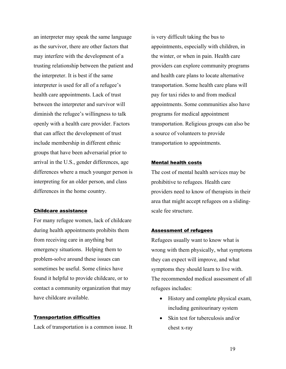an interpreter may speak the same language as the survivor, there are other factors that may interfere with the development of a trusting relationship between the patient and the interpreter. It is best if the same interpreter is used for all of a refugee's health care appointments. Lack of trust between the interpreter and survivor will diminish the refugee's willingness to talk openly with a health care provider. Factors that can affect the development of trust include membership in different ethnic groups that have been adversarial prior to arrival in the U.S., gender differences, age differences where a much younger person is interpreting for an older person, and class differences in the home country.

#### Childcare assistance

For many refugee women, lack of childcare during health appointments prohibits them from receiving care in anything but emergency situations. Helping them to problem-solve around these issues can sometimes be useful. Some clinics have found it helpful to provide childcare, or to contact a community organization that may have childcare available.

#### Transportation difficulties

Lack of transportation is a common issue. It

is very difficult taking the bus to appointments, especially with children, in the winter, or when in pain. Health care providers can explore community programs and health care plans to locate alternative transportation. Some health care plans will pay for taxi rides to and from medical appointments. Some communities also have programs for medical appointment transportation. Religious groups can also be a source of volunteers to provide transportation to appointments.

#### Mental health costs

The cost of mental health services may be prohibitive to refugees. Health care providers need to know of therapists in their area that might accept refugees on a slidingscale fee structure.

#### Assessment of refugees

Refugees usually want to know what is wrong with them physically, what symptoms they can expect will improve, and what symptoms they should learn to live with. The recommended medical assessment of all refugees includes:

- History and complete physical exam, including genitourinary system
- Skin test for tuberculosis and/or chest x-ray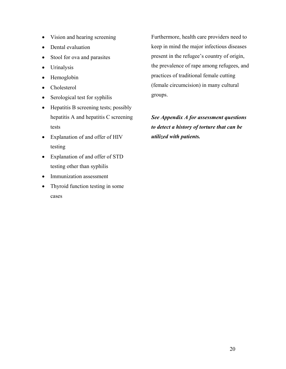- Vision and hearing screening
- Dental evaluation
- Stool for ova and parasites
- Urinalysis
- Hemoglobin
- Cholesterol
- Serological test for syphilis
- Hepatitis B screening tests; possibly hepatitis A and hepatitis C screening tests
- Explanation of and offer of HIV testing
- Explanation of and offer of STD testing other than syphilis
- Immunization assessment
- Thyroid function testing in some cases

Furthermore, health care providers need to keep in mind the major infectious diseases present in the refugee's country of origin, the prevalence of rape among refugees, and practices of traditional female cutting (female circumcision) in many cultural groups.

*See Appendix A for assessment questions to detect a history of torture that can be utilized with patients.*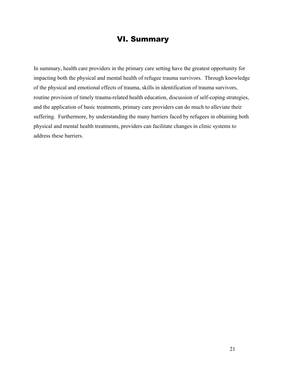### VI. Summary

In summary, health care providers in the primary care setting have the greatest opportunity for impacting both the physical and mental health of refugee trauma survivors. Through knowledge of the physical and emotional effects of trauma, skills in identification of trauma survivors, routine provision of timely trauma-related health education, discussion of self-coping strategies, and the application of basic treatments, primary care providers can do much to alleviate their suffering. Furthermore, by understanding the many barriers faced by refugees in obtaining both physical and mental health treatments, providers can facilitate changes in clinic systems to address these barriers.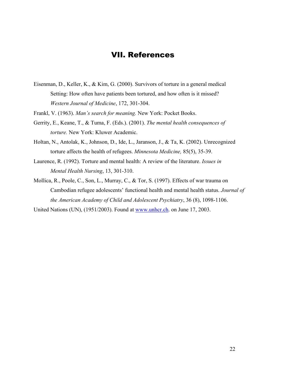### VII. References

- Eisenman, D., Keller, K., & Kim, G. (2000). Survivors of torture in a general medical Setting: How often have patients been tortured, and how often is it missed? *Western Journal of Medicine*, 172, 301-304.
- Frankl, V. (1963). *Man's search for meaning.* New York: Pocket Books.
- Gerrity, E., Keane, T., & Tuma, F. (Eds.). (2001). *The mental health consequences of torture.* New York: Kluwer Academic.
- Holtan, N., Antolak, K., Johnson, D., Ide, L., Jaranson, J., & Ta, K. (2002). Unrecognized torture affects the health of refugees. *Minnesota Medicine,* 85(5), 35-39.
- Laurence, R. (1992). Torture and mental health: A review of the literature. *Issues in Mental Health Nursing*, 13, 301-310.
- Mollica, R., Poole, C., Son, L., Murray, C., & Tor, S. (1997). Effects of war trauma on Cambodian refugee adolescents' functional health and mental health status. *Journal of the American Academy of Child and Adolescent Psychiatry*, 36 (8), 1098-1106.

United Nations (UN), (1951/2003). Found at www.unhcr.ch. on June 17, 2003.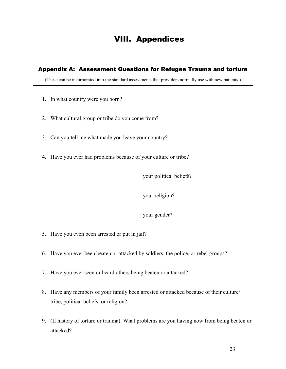### VIII. Appendices

#### Appendix A: Assessment Questions for Refugee Trauma and torture

(These can be incorporated into the standard assessments that providers normally use with new patients.)

- 1. In what country were you born?
- 2. What cultural group or tribe do you come from?
- 3. Can you tell me what made you leave your country?
- 4. Have you ever had problems because of your culture or tribe?

your political beliefs?

#### your religion?

#### your gender?

- 5. Have you even been arrested or put in jail?
- 6. Have you ever been beaten or attacked by soldiers, the police, or rebel groups?
- 7. Have you ever seen or heard others being beaten or attacked?
- 8. Have any members of your family been arrested or attacked because of their culture/ tribe, political beliefs, or religion?
- 9. (If history of torture or trauma). What problems are you having now from being beaten or attacked?